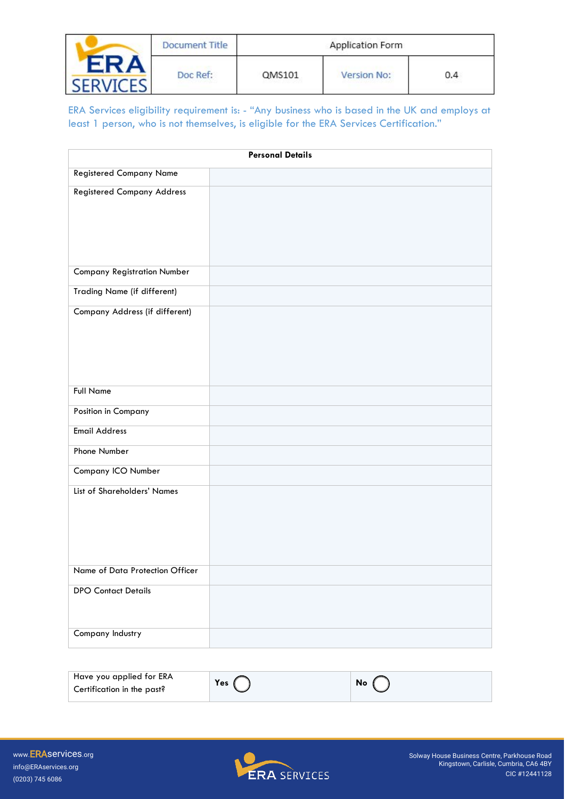|      | Document Title |        | Application Form |               |
|------|----------------|--------|------------------|---------------|
| FRA. | Doc Ref:       | QMS101 | Version No:      | 0.4<br>020656 |

ERA Services eligibility requirement is: - "Any business who is based in the UK and employs at least 1 person, who is not themselves, is eligible for the ERA Services Certification."

| <b>Personal Details</b>            |  |  |  |
|------------------------------------|--|--|--|
| <b>Registered Company Name</b>     |  |  |  |
| <b>Registered Company Address</b>  |  |  |  |
| <b>Company Registration Number</b> |  |  |  |
| Trading Name (if different)        |  |  |  |
| Company Address (if different)     |  |  |  |
| <b>Full Name</b>                   |  |  |  |
| Position in Company                |  |  |  |
| <b>Email Address</b>               |  |  |  |
| Phone Number                       |  |  |  |
| Company ICO Number                 |  |  |  |
| List of Shareholders' Names        |  |  |  |
| Name of Data Protection Officer    |  |  |  |
| <b>DPO Contact Details</b>         |  |  |  |
| Company Industry                   |  |  |  |

| Have you applied for ERA<br>Yes<br>No<br>Certification in the past? |  |
|---------------------------------------------------------------------|--|
|---------------------------------------------------------------------|--|

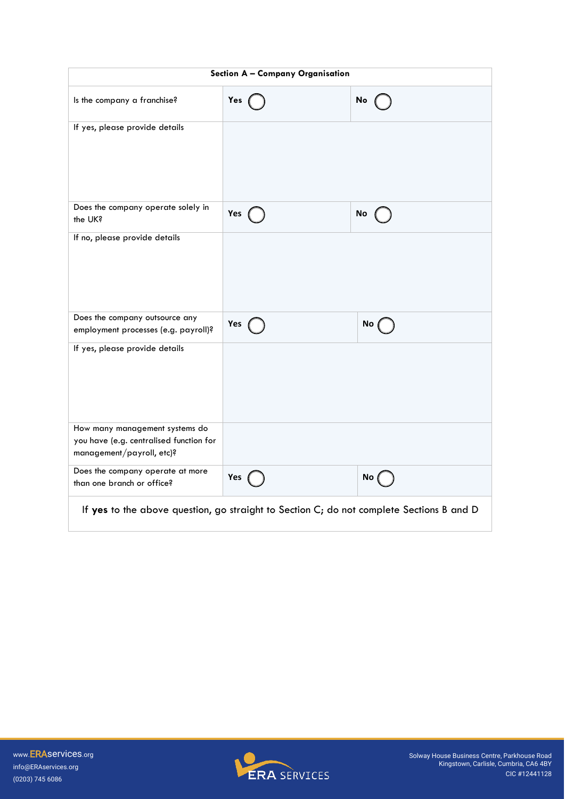| Section A - Company Organisation                                                                       |     |      |
|--------------------------------------------------------------------------------------------------------|-----|------|
| Is the company a franchise?                                                                            | Yes | No   |
| If yes, please provide details                                                                         |     |      |
| Does the company operate solely in<br>the UK?                                                          | Yes | No   |
| If no, please provide details                                                                          |     |      |
| Does the company outsource any<br>employment processes (e.g. payroll)?                                 | Yes | No ( |
| If yes, please provide details                                                                         |     |      |
| How many management systems do<br>you have (e.g. centralised function for<br>management/payroll, etc)? |     |      |
| Does the company operate at more<br>than one branch or office?                                         | Yes | No(  |
| If yes to the above question, go straight to Section C; do not complete Sections B and D               |     |      |

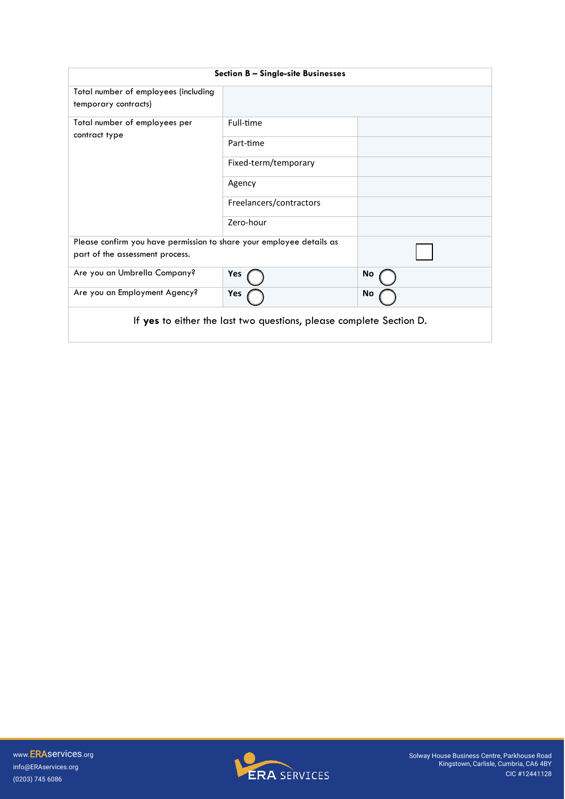| <b>Section B - Single-site Businesses</b>                                                               |                         |    |
|---------------------------------------------------------------------------------------------------------|-------------------------|----|
| Total number of employees (including<br>temporary contracts)                                            |                         |    |
| Total number of employees per                                                                           | Full-time               |    |
| contract type                                                                                           | Part-time               |    |
|                                                                                                         | Fixed-term/temporary    |    |
|                                                                                                         | Agency                  |    |
|                                                                                                         | Freelancers/contractors |    |
|                                                                                                         | Zero-hour               |    |
| Please confirm you have permission to share your employee details as<br>part of the assessment process. |                         |    |
| Are you an Umbrella Company?                                                                            | Yes                     | No |
| Are you an Employment Agency?                                                                           | Yes                     | No |
| If yes to either the last two questions, please complete Section D.                                     |                         |    |

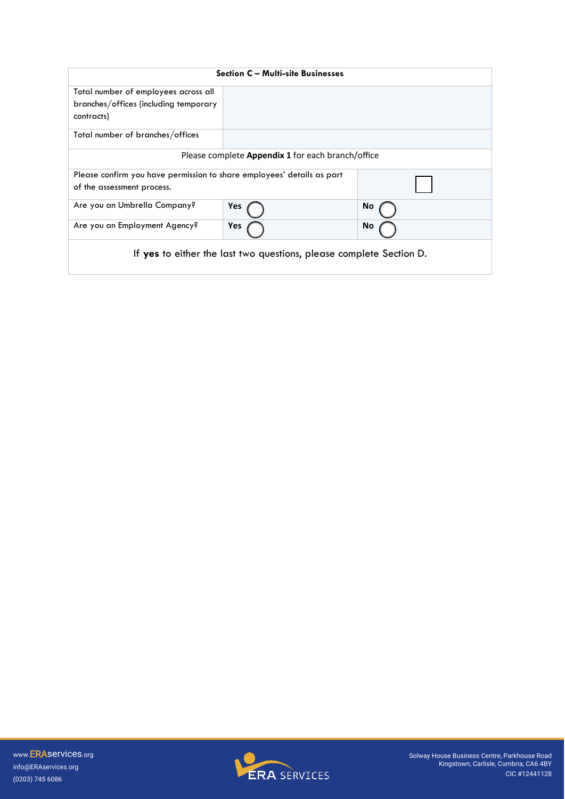| <b>Section C - Multi-site Businesses</b>                               |     |    |  |
|------------------------------------------------------------------------|-----|----|--|
| Total number of employees across all                                   |     |    |  |
| branches/offices (including temporary                                  |     |    |  |
| contracts)                                                             |     |    |  |
| Total number of branches/offices                                       |     |    |  |
| Please complete <b>Appendix 1</b> for each branch/office               |     |    |  |
| Please confirm you have permission to share employees' details as part |     |    |  |
| of the assessment process.                                             |     |    |  |
| Are you an Umbrella Company?                                           | Yes | No |  |
| Are you an Employment Agency?                                          | Yes | No |  |
| If yes to either the last two questions, please complete Section D.    |     |    |  |

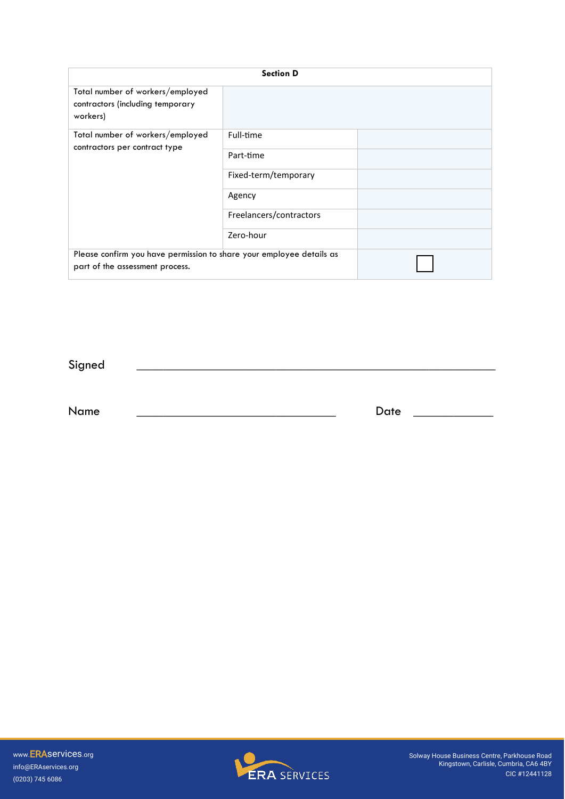| <b>Section D</b>                                                                                        |                         |  |
|---------------------------------------------------------------------------------------------------------|-------------------------|--|
| Total number of workers/employed<br>contractors (including temporary<br>workers)                        |                         |  |
| Total number of workers/employed<br>contractors per contract type                                       | Full-time               |  |
|                                                                                                         | Part-time               |  |
|                                                                                                         | Fixed-term/temporary    |  |
|                                                                                                         | Agency                  |  |
|                                                                                                         | Freelancers/contractors |  |
|                                                                                                         | Zero-hour               |  |
| Please confirm you have permission to share your employee details as<br>part of the assessment process. |                         |  |

 ${\Large \bf Signal} \begin{tabular}{|c|c|c|c|} \hline \multicolumn{3}{|c|}{ \textbf{Single}} & \multicolumn{3}{|c|}{ \textbf{Super}} \\ \hline \multicolumn{3}{|c|}{ \textbf{Single}} & \multicolumn{3}{|c|}{ \textbf{Super}} \\ \hline \multicolumn{3}{|c|}{ \textbf{Super}} & \multicolumn{3}{|c|}{ \textbf{Super}} \\ \hline \multicolumn{3}{|c|}{ \textbf{Super}} & \multicolumn{3}{|c|}{ \textbf{Super}} \\ \hline \multicolumn{3}{|c|}{ \textbf{Super}} & \multicolumn{3}{|c|}{ \textbf{Super}} \\ \hline$ 

Name \_\_\_\_\_\_\_\_\_\_\_\_\_\_\_\_\_\_\_\_\_\_\_\_\_\_\_\_\_\_ Date \_\_\_\_\_\_\_\_\_\_\_\_

(0203) 745 6086 www.ERAservices.org info@ERAservices.org